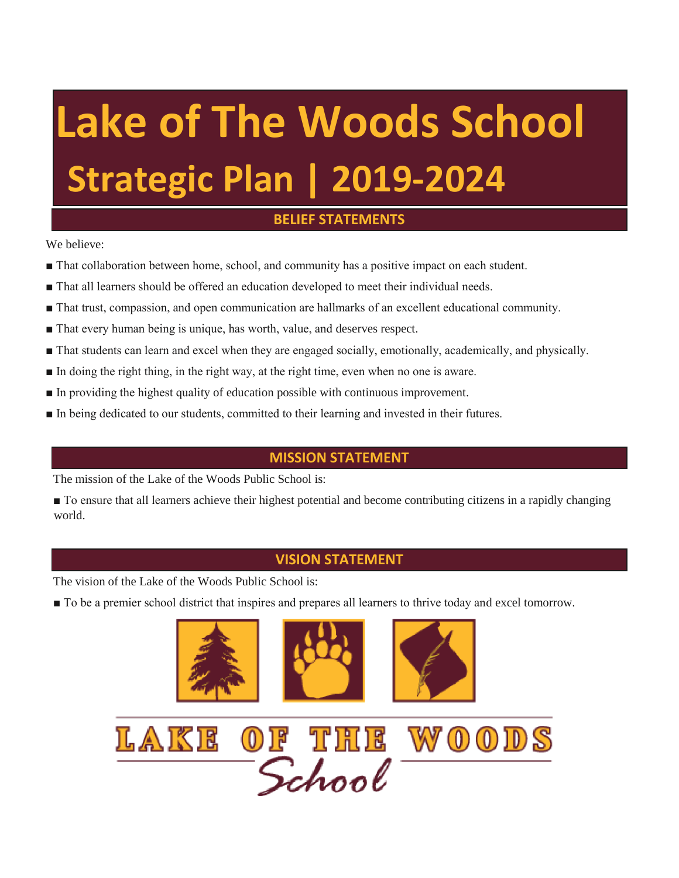## **Lake of The Woods School Strategic Plan | 2019-2024**

## **BELIEF STATEMENTS**

We believe:

- That collaboration between home, school, and community has a positive impact on each student.
- That all learners should be offered an education developed to meet their individual needs.
- That trust, compassion, and open communication are hallmarks of an excellent educational community.
- That every human being is unique, has worth, value, and deserves respect.
- That students can learn and excel when they are engaged socially, emotionally, academically, and physically.
- In doing the right thing, in the right way, at the right time, even when no one is aware.
- In providing the highest quality of education possible with continuous improvement.
- In being dedicated to our students, committed to their learning and invested in their futures.

## **MISSION STATEMENT**

The mission of the Lake of the Woods Public School is:

■ To ensure that all learners achieve their highest potential and become contributing citizens in a rapidly changing world.

## **VISION STATEMENT**

The vision of the Lake of the Woods Public School is:

■ To be a premier school district that inspires and prepares all learners to thrive today and excel tomorrow.